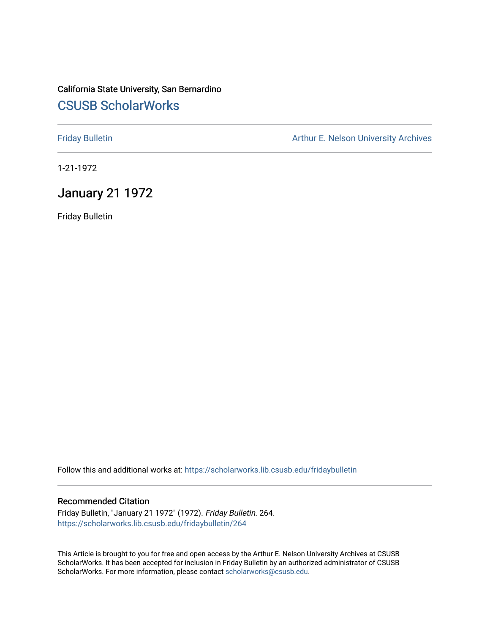## California State University, San Bernardino [CSUSB ScholarWorks](https://scholarworks.lib.csusb.edu/)

[Friday Bulletin](https://scholarworks.lib.csusb.edu/fridaybulletin) **Arthur E. Nelson University Archives** Arthur E. Nelson University Archives

1-21-1972

## January 21 1972

Friday Bulletin

Follow this and additional works at: [https://scholarworks.lib.csusb.edu/fridaybulletin](https://scholarworks.lib.csusb.edu/fridaybulletin?utm_source=scholarworks.lib.csusb.edu%2Ffridaybulletin%2F264&utm_medium=PDF&utm_campaign=PDFCoverPages)

## Recommended Citation

Friday Bulletin, "January 21 1972" (1972). Friday Bulletin. 264. [https://scholarworks.lib.csusb.edu/fridaybulletin/264](https://scholarworks.lib.csusb.edu/fridaybulletin/264?utm_source=scholarworks.lib.csusb.edu%2Ffridaybulletin%2F264&utm_medium=PDF&utm_campaign=PDFCoverPages)

This Article is brought to you for free and open access by the Arthur E. Nelson University Archives at CSUSB ScholarWorks. It has been accepted for inclusion in Friday Bulletin by an authorized administrator of CSUSB ScholarWorks. For more information, please contact [scholarworks@csusb.edu.](mailto:scholarworks@csusb.edu)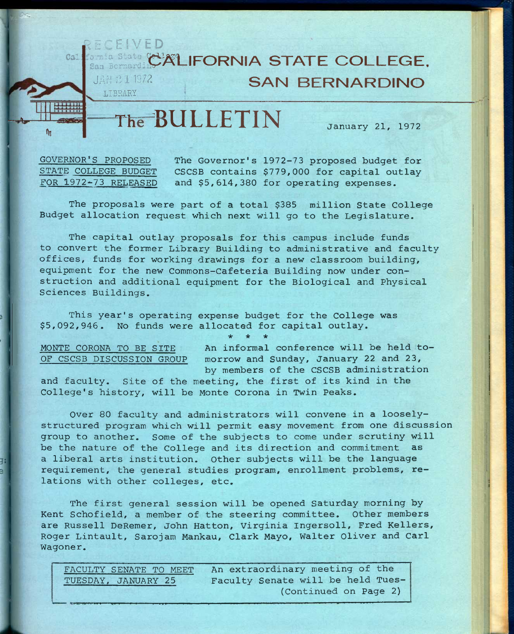

GOVERNOR'S PROPOSED The Governor's 1972-73 proposed budget for<br>STATE COLLEGE BUDGET CSCSB contains \$779,000 for capital outlay CSCSB contains \$779,000 for capital outlay FOR 1972-73 RELEASED and \$5,614,380 for operating expenses.

The proposals were part of a total \$385 million State College Budget allocation request which next will go to the Legislature.

The capital outlay proposals for this campus include funds to convert the former Library Building to administrative and faculty offices, funds for working drawings for a new classroom building, equipment for the new Commons-Cafeteria Building now under construction and additional equipment for the Biological and Physical Sciences Buildings.

**\* \* \*** 

This year's operating expense budget for the College was \$5,092,946. No funds were allocated for capital outlay.

MONTE CORONA TO BE SITE An informal conference will be held to-OF CSCSB DISCUSSION GROUP morrow and Sunday, January 22 and 23, by members of the CSCSB administration

and faculty. Site of the meeting, the first of its kind in the College's history, will be Monte Corona in Twin Peaks.

Over 80 faculty and administrators will convene in a looselystructured program which will permit easy movement from one discussion group to another. Some of the subjects to come under scrutiny will be the nature of the College and its direction and commitment as a liberal arts institution. Other subjects will be the language requirement, the general studies program, enrollment problems, relations with other colleges, etc.

The first general session will be opened Saturday morning by Kent Schofield, a member of the steering committee. Other members are Russell DeRemer, John Hatton, Virginia Ingersoll, Fred Kellers, Roger Lintault, Sarojam Mankau, Clark Mayo, Walter Oliver and Carl Wagoner.

| FACULTY SENATE TO MEET/ | An extraordinary meeting of the   |
|-------------------------|-----------------------------------|
| TUESDAY, JANUARY 25     | Faculty Senate will be held Tues- |
|                         | (Continued on Page 2)             |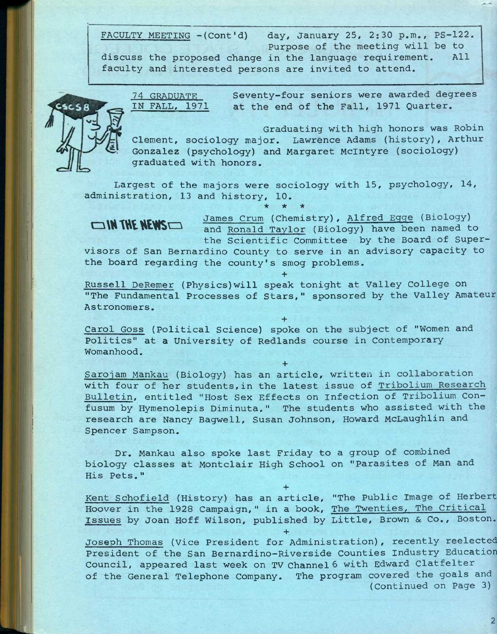FACULTY MEETING - (Cont'd) day, January 25, 2:30 p.m., PS-122. Purpose of the meeting will be to discuss the proposed change in the language requirement. All faculty and interested persons are invited to attend.



74 GRADUATE IN FALL. 1971 Seventy-four seniors were awarded degrees at the end of the Fall, 1971 Quarter.

Graduating with high honors was Robin Clement, sociology major. Lawrence Adams (history), Arthur Gonzalez (psychology) and Margaret Mclntyre (sociology) graduated with honors.

Largest of the majors were sociology with 15, psychology, 14, administration, 13 and history, 10.

**CIN THE NEWS**  $\Box$  James Crum (Chemistry), Alfred Egge (Biology) = and Ronald Taylor (Biology) have been named to the Scientific Committee by the Board of Supervisors of San Bernardino County to serve in an advisory capacity to the board regarding the county's smog problems.

Russell DeRemer (Physics)will speak tonight at Valley College on "The Fundamental Processes of Stars," sponsored by the Valley Amateur Astronomers.

**+** 

**+** 

Carol Goss (Political Science) spoke on the subject of "Women and Politics" at a University of Redlands course in Contemporary Womanhood.

Sarojam Mankau (Biology) has an article, written in collaboration with four of her students,in the latest issue of Tribolium Research Bulletin, entitled "Host Sex Effects on Infection of Tribolium Confusum by Hymenolepis Diminuta." The students who assisted with the research are Nancy Bagwell, Susan Johnson, Howard McLaughlin and j Spencer Sampson.

**+** 

Dr. Mankau also spoke last Friday to a group of combined biology classes at Montclair High School on "Parasites of Man and His Pets."

**+**  Kent Schofield (History) has an article, "The Public Image of Herbert Hoover in the 1928 Campaign," in a book, The Twenties, The Critical Issues by Joan Hoff Wilson, published by Little, Brown & Co., Boston.

**+** 

Joseph Thomas (Vice President for Administration), recently reelected President of the San Bernardino-Riverside Counties Industry Education Council, appeared last week on TV channel 6 with Edward Clatfelter of the General Telephone Company. The program covered the goals and (Continued on Page 3)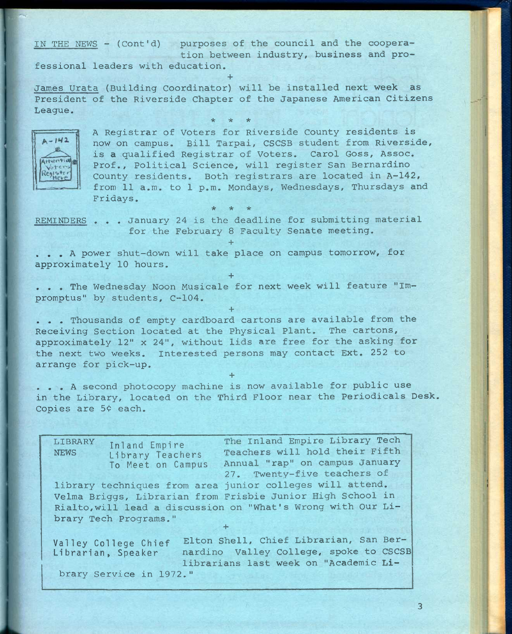IN THE NEWS - (Cont'd) purposes of the council and the cooperation between industry, business and professional leaders with education. **+** 

James Urata (Building Coordinator) will be installed next week as President of the Riverside Chapter of the Japanese American Citizens League. **\* \* \*** 



A Registrar of Voters for Riverside County residents is now on campus. Bill Tarpai, CSCSB student from Riverside, is a qualified Registrar of Voters. Carol Goss, Assoc. Prof., Political Science, will register San Bernardino County residents. Both registrars are located in A-142, from 11 a.m. to 1 p.m. Mondays, Wednesdays, Thursdays and Fridays.

REMINDERS . . . January 24 is the deadline for submitting material for the February 8 Faculty Senate meeting.

**+** 

**+** 

**+** 

*-k "k -k* 

. . . A power shut-down will take place on campus tomorrow, for approximately 10 hours.

. . . The Wednesday Noon Musicale for next week will feature "Impromptus" by students, C~104.

. . . Thousands of empty cardboard cartons are available from the Receiving Section located at the Physical Plant. The cartons, approximately 12" x 24", without lids are free for the asking for the next two weeks. interested persons may contact Ext. 252 to arrange for pick-up.

. . . A second photocopy machine is now available for public use in the Library, located on the Third Floor near the Periodicals Desk. Copies are 5¢ each.

**+** 

LIBRARY Inland Empire The Inland Empire Library Tech NEWS Library Teachers Teachers will hold their Fifth To Meet on Campus Annual "rap" on campus January 27. Twenty-five teachers of library techniques from area junior colleges will attend. Velma Briggs, Librarian from Frisbie Junior High School in Rialto,will lead a discussion on "What's Wrong with Our Library Tech Programs." **+**  Valley College Chief Elton Shell, Chief Librarian, San Ber-Librarian, Speaker nardino Valley College, spoke to CSCSB librarians last week on "Academic **Li**brary Service in 1972."

**3**